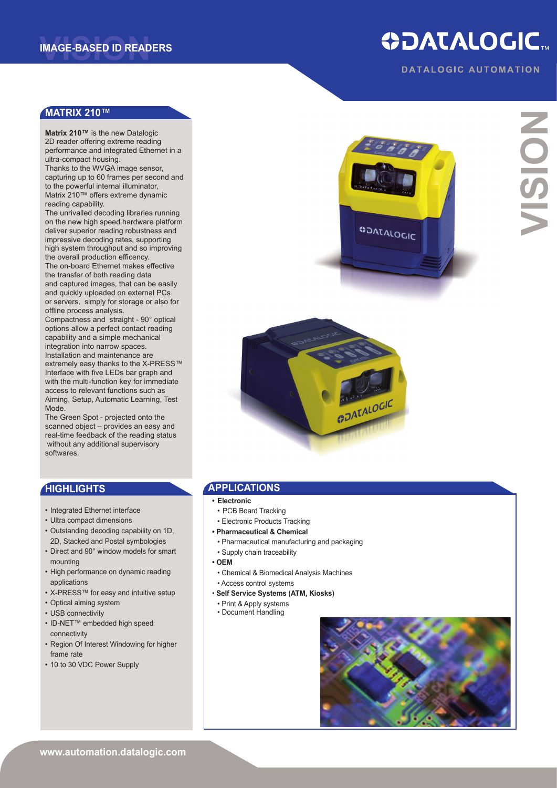## **ODATALOGIC.**

**DATALOGIC AUTOMATION** 

## **matrix 210™**

**Matrix 210™** is the new Datalogic 2D reader offering extreme reading performance and integrated Ethernet in a ultra-compact housing.

Thanks to the WVGA image sensor, capturing up to 60 frames per second and to the powerful internal illuminator, Matrix 210™ offers extreme dynamic reading capability.

The unrivalled decoding libraries running on the new high speed hardware platform deliver superior reading robustness and impressive decoding rates, supporting high system throughput and so improving the overall production efficency.

The on-board Ethernet makes effective the transfer of both reading data and captured images, that can be easily and quickly uploaded on external PCs or servers, simply for storage or also for offline process analysis.

Compactness and straight - 90° optical options allow a perfect contact reading capability and a simple mechanical integration into narrow spaces. Installation and maintenance are extremely easy thanks to the X-PRESS™ Interface with five LEDs bar graph and with the multi-function key for immediate access to relevant functions such as Aiming, Setup, Automatic Learning, Test Mode.

The Green Spot - projected onto the scanned object – provides an easy and real-time feedback of the reading status without any additional supervisory softwares.

## **HIGHLIGHTS**

- Integrated Ethernet interface
- Ultra compact dimensions • Outstanding decoding capability on 1D,
- 2D, Stacked and Postal symbologies
- Direct and 90° window models for smart mounting
- High performance on dynamic reading applications
- X-PRESS™ for easy and intuitive setup
- Optical aiming system
- USB connectivity
- ID-NET™ embedded high speed connectivity
- Region Of Interest Windowing for higher frame rate
- 10 to 30 VDC Power Supply





## **applications**

- **• Electronic**
- PCB Board Tracking
- Electronic Products Tracking
- **Pharmaceutical & Chemical**
- Pharmaceutical manufacturing and packaging
- Supply chain traceability
- **• OEM**
- Chemical & Biomedical Analysis Machines
- Access control systems
- **Self Service Systems (ATM, Kiosks)**
- Print & Apply systems
- Document Handling